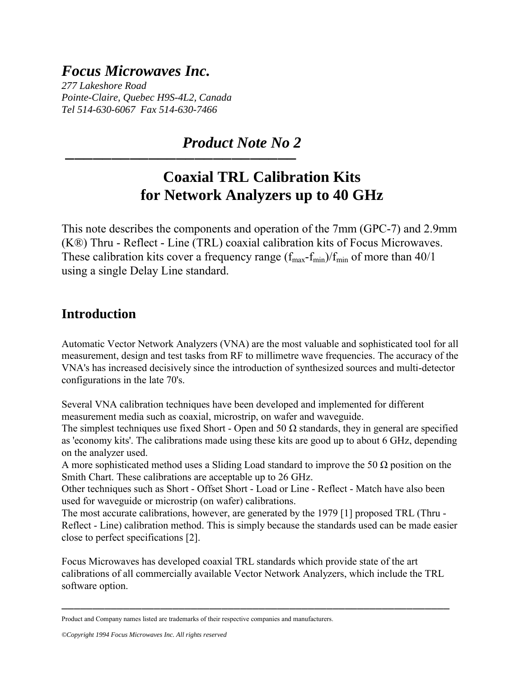## *Focus Microwaves Inc.*

*277 Lakeshore Road Pointe-Claire, Quebec H9S-4L2, Canada Tel 514-630-6067 Fax 514-630-7466* 

─────────────────────────

 *Product Note No 2* 

# **Coaxial TRL Calibration Kits for Network Analyzers up to 40 GHz**

This note describes the components and operation of the 7mm (GPC-7) and 2.9mm (K®) Thru - Reflect - Line (TRL) coaxial calibration kits of Focus Microwaves. These calibration kits cover a frequency range  $(f_{max} - f_{min})/f_{min}$  of more than 40/1 using a single Delay Line standard.

### **Introduction**

Automatic Vector Network Analyzers (VNA) are the most valuable and sophisticated tool for all measurement, design and test tasks from RF to millimetre wave frequencies. The accuracy of the VNA's has increased decisively since the introduction of synthesized sources and multi-detector configurations in the late 70's.

Several VNA calibration techniques have been developed and implemented for different measurement media such as coaxial, microstrip, on wafer and waveguide.

The simplest techniques use fixed Short - Open and 50  $\Omega$  standards, they in general are specified as 'economy kits'. The calibrations made using these kits are good up to about 6 GHz, depending on the analyzer used.

A more sophisticated method uses a Sliding Load standard to improve the 50  $\Omega$  position on the Smith Chart. These calibrations are acceptable up to 26 GHz.

Other techniques such as Short - Offset Short - Load or Line - Reflect - Match have also been used for waveguide or microstrip (on wafer) calibrations.

The most accurate calibrations, however, are generated by the 1979 [1] proposed TRL (Thru - Reflect - Line) calibration method. This is simply because the standards used can be made easier close to perfect specifications [2].

Focus Microwaves has developed coaxial TRL standards which provide state of the art calibrations of all commercially available Vector Network Analyzers, which include the TRL software option.

───────────────────────────────────────────────────────────────

Product and Company names listed are trademarks of their respective companies and manufacturers.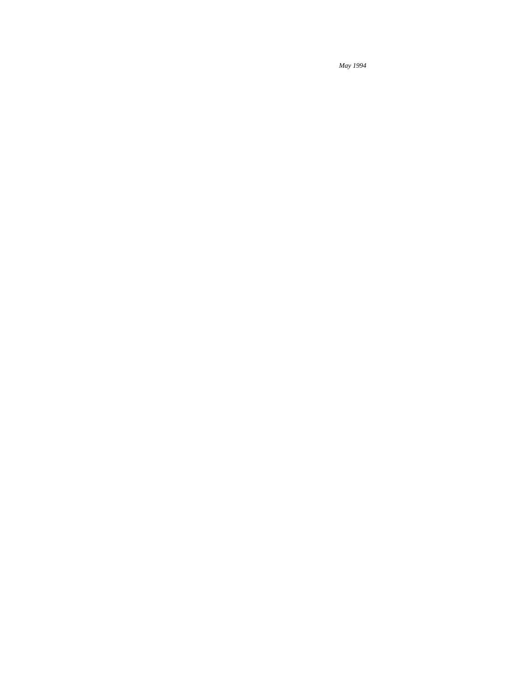*May 1994*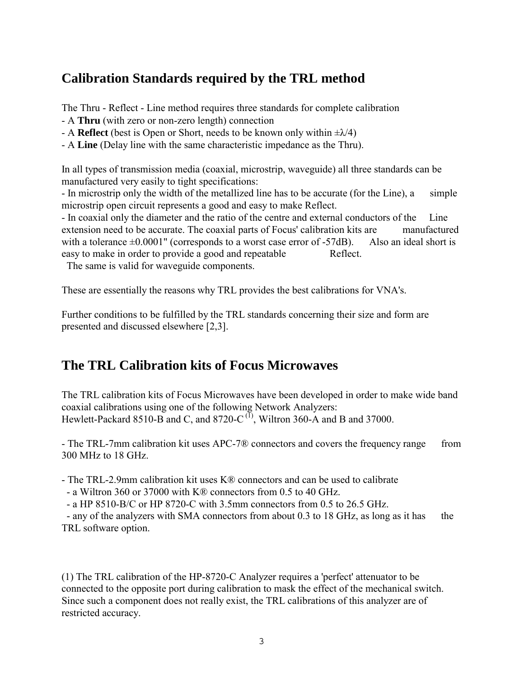### **Calibration Standards required by the TRL method**

The Thru - Reflect - Line method requires three standards for complete calibration

- A **Thru** (with zero or non-zero length) connection
- A **Reflect** (best is Open or Short, needs to be known only within  $\pm \lambda/4$ )
- A **Line** (Delay line with the same characteristic impedance as the Thru).

In all types of transmission media (coaxial, microstrip, waveguide) all three standards can be manufactured very easily to tight specifications:

- In microstrip only the width of the metallized line has to be accurate (for the Line), a simple microstrip open circuit represents a good and easy to make Reflect.

- In coaxial only the diameter and the ratio of the centre and external conductors of the Line extension need to be accurate. The coaxial parts of Focus' calibration kits are manufactured with a tolerance  $\pm 0.0001$ " (corresponds to a worst case error of -57dB). Also an ideal short is easy to make in order to provide a good and repeatable Reflect.

The same is valid for waveguide components.

These are essentially the reasons why TRL provides the best calibrations for VNA's.

Further conditions to be fulfilled by the TRL standards concerning their size and form are presented and discussed elsewhere [2,3].

## **The TRL Calibration kits of Focus Microwaves**

The TRL calibration kits of Focus Microwaves have been developed in order to make wide band coaxial calibrations using one of the following Network Analyzers: Hewlett-Packard 8510-B and C, and 8720-C $^{(1)}$ , Wiltron 360-A and B and 37000.

- The TRL-7mm calibration kit uses APC-7<sup>®</sup> connectors and covers the frequency range from 300 MHz to 18 GHz.

- The TRL-2.9mm calibration kit uses K® connectors and can be used to calibrate

- a Wiltron 360 or 37000 with K® connectors from 0.5 to 40 GHz.

- a HP 8510-B/C or HP 8720-C with 3.5mm connectors from 0.5 to 26.5 GHz.

 - any of the analyzers with SMA connectors from about 0.3 to 18 GHz, as long as it has the TRL software option.

(1) The TRL calibration of the HP-8720-C Analyzer requires a 'perfect' attenuator to be connected to the opposite port during calibration to mask the effect of the mechanical switch. Since such a component does not really exist, the TRL calibrations of this analyzer are of restricted accuracy.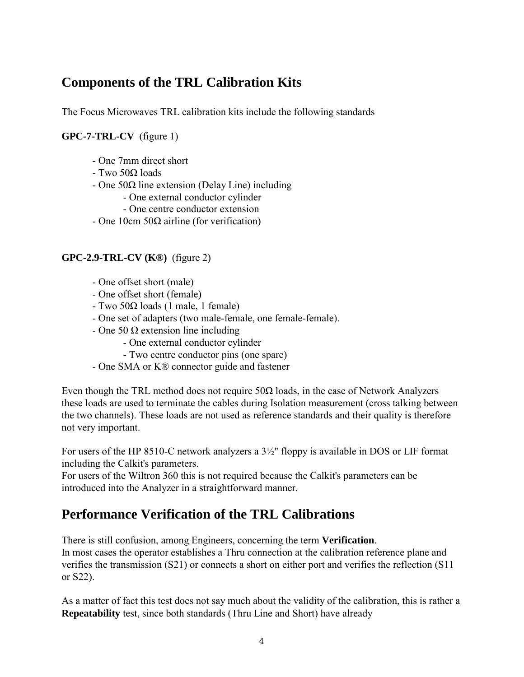## **Components of the TRL Calibration Kits**

The Focus Microwaves TRL calibration kits include the following standards

#### **GPC-7-TRL-CV** (figure 1)

- One 7mm direct short
- Two 50Ω loads
- One 50Ω line extension (Delay Line) including
	- One external conductor cylinder
	- One centre conductor extension
- One 10cm 50Ω airline (for verification)

#### **GPC-2.9-TRL-CV (K®)** (figure 2)

- One offset short (male)
- One offset short (female)
- Two 50Ω loads (1 male, 1 female)
- One set of adapters (two male-female, one female-female).
- One 50 Ω extension line including
	- One external conductor cylinder
	- Two centre conductor pins (one spare)
- One SMA or K® connector guide and fastener

Even though the TRL method does not require  $50\Omega$  loads, in the case of Network Analyzers these loads are used to terminate the cables during Isolation measurement (cross talking between the two channels). These loads are not used as reference standards and their quality is therefore not very important.

For users of the HP 8510-C network analyzers a 3½" floppy is available in DOS or LIF format including the Calkit's parameters.

For users of the Wiltron 360 this is not required because the Calkit's parameters can be introduced into the Analyzer in a straightforward manner.

## **Performance Verification of the TRL Calibrations**

There is still confusion, among Engineers, concerning the term **Verification**. In most cases the operator establishes a Thru connection at the calibration reference plane and verifies the transmission (S21) or connects a short on either port and verifies the reflection (S11 or S22).

As a matter of fact this test does not say much about the validity of the calibration, this is rather a **Repeatability** test, since both standards (Thru Line and Short) have already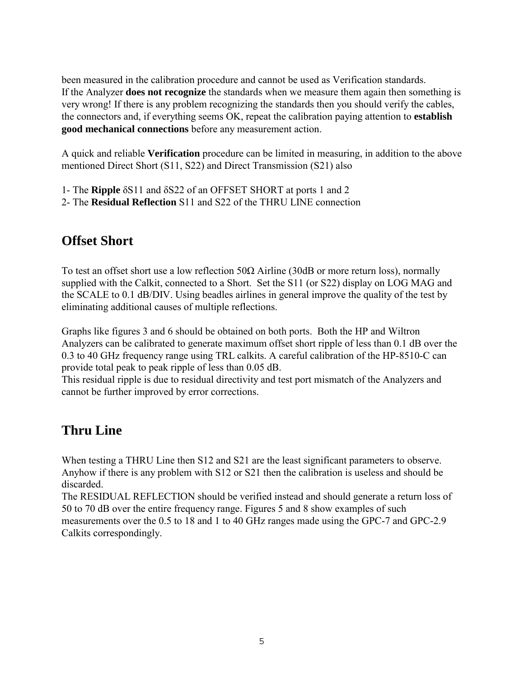been measured in the calibration procedure and cannot be used as Verification standards. If the Analyzer **does not recognize** the standards when we measure them again then something is very wrong! If there is any problem recognizing the standards then you should verify the cables, the connectors and, if everything seems OK, repeat the calibration paying attention to **establish good mechanical connections** before any measurement action.

A quick and reliable **Verification** procedure can be limited in measuring, in addition to the above mentioned Direct Short (S11, S22) and Direct Transmission (S21) also

1- The **Ripple** δS11 and δS22 of an OFFSET SHORT at ports 1 and 2

2- The **Residual Reflection** S11 and S22 of the THRU LINE connection

## **Offset Short**

To test an offset short use a low reflection  $50\Omega$  Airline (30dB or more return loss), normally supplied with the Calkit, connected to a Short. Set the S11 (or S22) display on LOG MAG and the SCALE to 0.1 dB/DIV. Using beadles airlines in general improve the quality of the test by eliminating additional causes of multiple reflections.

Graphs like figures 3 and 6 should be obtained on both ports. Both the HP and Wiltron Analyzers can be calibrated to generate maximum offset short ripple of less than 0.1 dB over the 0.3 to 40 GHz frequency range using TRL calkits. A careful calibration of the HP-8510-C can provide total peak to peak ripple of less than 0.05 dB.

This residual ripple is due to residual directivity and test port mismatch of the Analyzers and cannot be further improved by error corrections.

## **Thru Line**

When testing a THRU Line then S12 and S21 are the least significant parameters to observe. Anyhow if there is any problem with S12 or S21 then the calibration is useless and should be discarded.

The RESIDUAL REFLECTION should be verified instead and should generate a return loss of 50 to 70 dB over the entire frequency range. Figures 5 and 8 show examples of such measurements over the 0.5 to 18 and 1 to 40 GHz ranges made using the GPC-7 and GPC-2.9 Calkits correspondingly.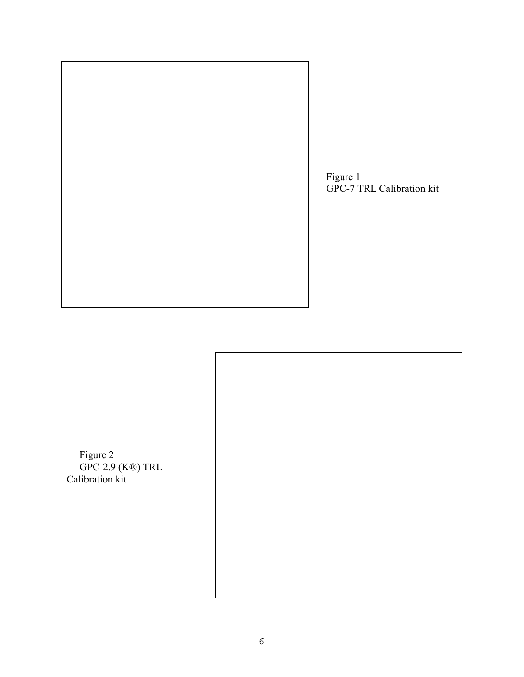

 Figure 1 GPC-7 TRL Calibration kit



 Figure 2 GPC-2.9 (K®) TRL Calibration kit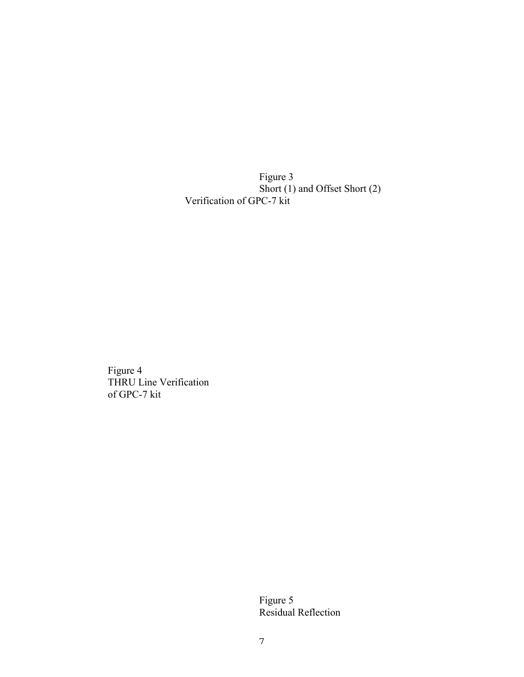Figure 3 Short (1) and Offset Short (2) Verification of GPC-7 kit

> Figure 4 THRU Line Verification of GPC-7 kit

> > Figure 5 Residual Reflection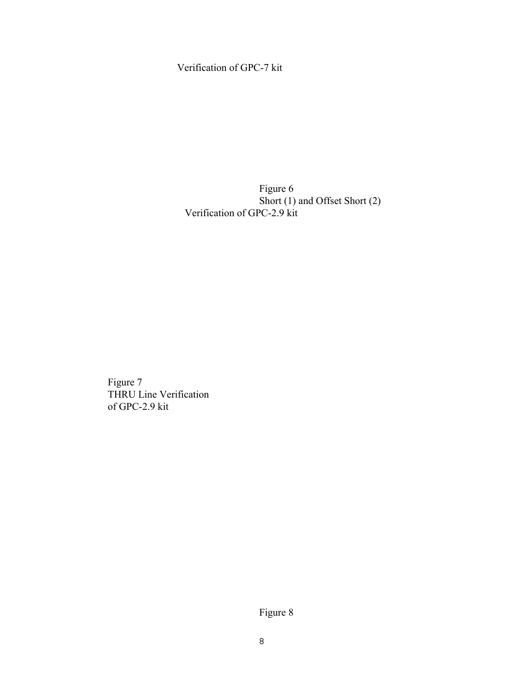#### Verification of GPC-7 kit

 Figure 6 Short (1) and Offset Short (2) Verification of GPC-2.9 kit

 Figure 7 THRU Line Verification of GPC-2.9 kit

Figure 8